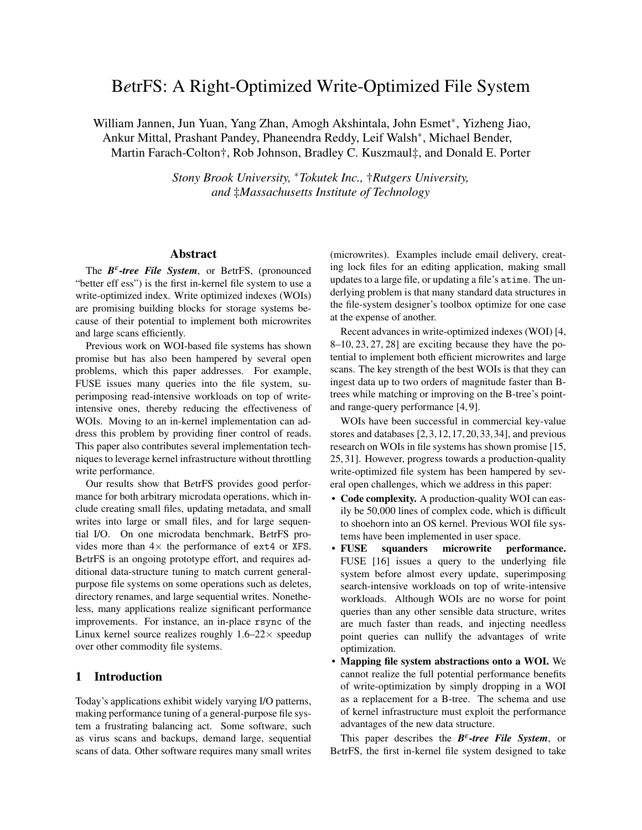# B*e*trFS: A Right-Optimized Write-Optimized File System

William Jannen, Jun Yuan, Yang Zhan, Amogh Akshintala, John Esmet<sup>∗</sup> , Yizheng Jiao, Ankur Mittal, Prashant Pandey, Phaneendra Reddy, Leif Walsh<sup>∗</sup> , Michael Bender, Martin Farach-Colton†, Rob Johnson, Bradley C. Kuszmaul‡, and Donald E. Porter

> *Stony Brook University,* <sup>∗</sup>*Tokutek Inc.,* †*Rutgers University, and* ‡*Massachusetts Institute of Technology*

## Abstract

The *B<sup>ε</sup>*-tree File System, or BetrFS, (pronounced "better eff ess") is the first in-kernel file system to use a write-optimized index. Write optimized indexes (WOIs) are promising building blocks for storage systems because of their potential to implement both microwrites and large scans efficiently.

Previous work on WOI-based file systems has shown promise but has also been hampered by several open problems, which this paper addresses. For example, FUSE issues many queries into the file system, superimposing read-intensive workloads on top of writeintensive ones, thereby reducing the effectiveness of WOIs. Moving to an in-kernel implementation can address this problem by providing finer control of reads. This paper also contributes several implementation techniques to leverage kernel infrastructure without throttling write performance.

Our results show that B*e*trFS provides good performance for both arbitrary microdata operations, which include creating small files, updating metadata, and small writes into large or small files, and for large sequential I/O. On one microdata benchmark, B*e*trFS provides more than  $4 \times$  the performance of ext4 or XFS. B*e*trFS is an ongoing prototype effort, and requires additional data-structure tuning to match current generalpurpose file systems on some operations such as deletes, directory renames, and large sequential writes. Nonetheless, many applications realize significant performance improvements. For instance, an in-place rsync of the Linux kernel source realizes roughly  $1.6-22 \times$  speedup over other commodity file systems.

## 1 Introduction

Today's applications exhibit widely varying I/O patterns, making performance tuning of a general-purpose file system a frustrating balancing act. Some software, such as virus scans and backups, demand large, sequential scans of data. Other software requires many small writes (microwrites). Examples include email delivery, creating lock files for an editing application, making small updates to a large file, or updating a file's atime. The underlying problem is that many standard data structures in the file-system designer's toolbox optimize for one case at the expense of another.

Recent advances in write-optimized indexes (WOI) [4, 8–10, 23, 27, 28] are exciting because they have the potential to implement both efficient microwrites and large scans. The key strength of the best WOIs is that they can ingest data up to two orders of magnitude faster than Btrees while matching or improving on the B-tree's pointand range-query performance [4, 9].

WOIs have been successful in commercial key-value stores and databases [2,3,12,17,20,33,34], and previous research on WOIs in file systems has shown promise [15, 25, 31]. However, progress towards a production-quality write-optimized file system has been hampered by several open challenges, which we address in this paper:

- Code complexity. A production-quality WOI can easily be 50,000 lines of complex code, which is difficult to shoehorn into an OS kernel. Previous WOI file systems have been implemented in user space.
- FUSE squanders microwrite performance. FUSE [16] issues a query to the underlying file system before almost every update, superimposing search-intensive workloads on top of write-intensive workloads. Although WOIs are no worse for point queries than any other sensible data structure, writes are much faster than reads, and injecting needless point queries can nullify the advantages of write optimization.
- Mapping file system abstractions onto a WOI. We cannot realize the full potential performance benefits of write-optimization by simply dropping in a WOI as a replacement for a B-tree. The schema and use of kernel infrastructure must exploit the performance advantages of the new data structure.

This paper describes the  $B^{\varepsilon}\text{-tree}$  File System, or B*e*trFS, the first in-kernel file system designed to take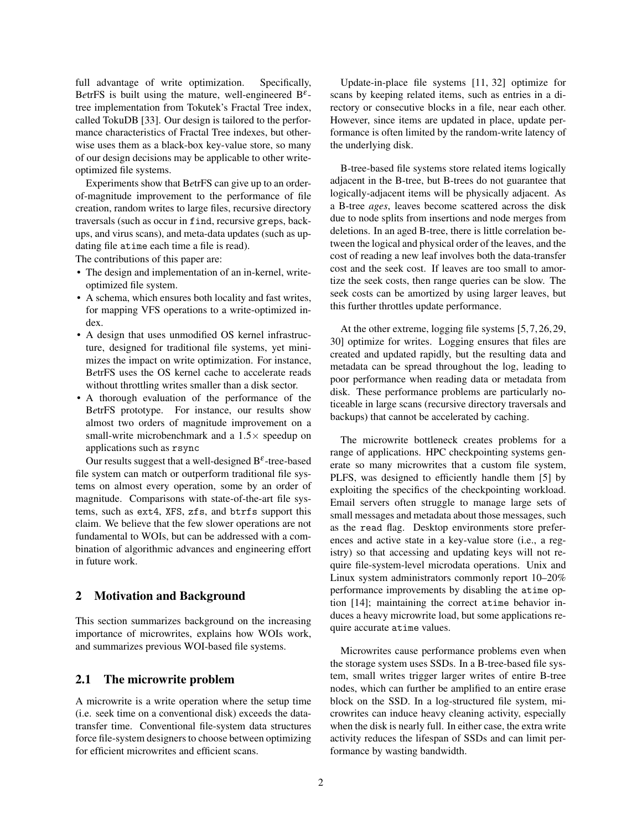full advantage of write optimization. Specifically, BetrFS is built using the mature, well-engineered  $B^{\varepsilon}$ tree implementation from Tokutek's Fractal Tree index, called TokuDB [33]. Our design is tailored to the performance characteristics of Fractal Tree indexes, but otherwise uses them as a black-box key-value store, so many of our design decisions may be applicable to other writeoptimized file systems.

Experiments show that B*e*trFS can give up to an orderof-magnitude improvement to the performance of file creation, random writes to large files, recursive directory traversals (such as occur in find, recursive greps, backups, and virus scans), and meta-data updates (such as updating file atime each time a file is read).

The contributions of this paper are:

- The design and implementation of an in-kernel, writeoptimized file system.
- A schema, which ensures both locality and fast writes, for mapping VFS operations to a write-optimized index.
- A design that uses unmodified OS kernel infrastructure, designed for traditional file systems, yet minimizes the impact on write optimization. For instance, B*e*trFS uses the OS kernel cache to accelerate reads without throttling writes smaller than a disk sector.
- A thorough evaluation of the performance of the B*e*trFS prototype. For instance, our results show almost two orders of magnitude improvement on a small-write microbenchmark and a  $1.5\times$  speedup on applications such as rsync

Our results suggest that a well-designed  $B^{\varepsilon}$ -tree-based file system can match or outperform traditional file systems on almost every operation, some by an order of magnitude. Comparisons with state-of-the-art file systems, such as ext4, XFS, zfs, and btrfs support this claim. We believe that the few slower operations are not fundamental to WOIs, but can be addressed with a combination of algorithmic advances and engineering effort in future work.

## 2 Motivation and Background

This section summarizes background on the increasing importance of microwrites, explains how WOIs work, and summarizes previous WOI-based file systems.

## 2.1 The microwrite problem

A microwrite is a write operation where the setup time (i.e. seek time on a conventional disk) exceeds the datatransfer time. Conventional file-system data structures force file-system designers to choose between optimizing for efficient microwrites and efficient scans.

Update-in-place file systems [11, 32] optimize for scans by keeping related items, such as entries in a directory or consecutive blocks in a file, near each other. However, since items are updated in place, update performance is often limited by the random-write latency of the underlying disk.

B-tree-based file systems store related items logically adjacent in the B-tree, but B-trees do not guarantee that logically-adjacent items will be physically adjacent. As a B-tree *ages*, leaves become scattered across the disk due to node splits from insertions and node merges from deletions. In an aged B-tree, there is little correlation between the logical and physical order of the leaves, and the cost of reading a new leaf involves both the data-transfer cost and the seek cost. If leaves are too small to amortize the seek costs, then range queries can be slow. The seek costs can be amortized by using larger leaves, but this further throttles update performance.

At the other extreme, logging file systems [5, 7, 26, 29, 30] optimize for writes. Logging ensures that files are created and updated rapidly, but the resulting data and metadata can be spread throughout the log, leading to poor performance when reading data or metadata from disk. These performance problems are particularly noticeable in large scans (recursive directory traversals and backups) that cannot be accelerated by caching.

The microwrite bottleneck creates problems for a range of applications. HPC checkpointing systems generate so many microwrites that a custom file system, PLFS, was designed to efficiently handle them [5] by exploiting the specifics of the checkpointing workload. Email servers often struggle to manage large sets of small messages and metadata about those messages, such as the read flag. Desktop environments store preferences and active state in a key-value store (i.e., a registry) so that accessing and updating keys will not require file-system-level microdata operations. Unix and Linux system administrators commonly report 10–20% performance improvements by disabling the atime option [14]; maintaining the correct atime behavior induces a heavy microwrite load, but some applications require accurate atime values.

Microwrites cause performance problems even when the storage system uses SSDs. In a B-tree-based file system, small writes trigger larger writes of entire B-tree nodes, which can further be amplified to an entire erase block on the SSD. In a log-structured file system, microwrites can induce heavy cleaning activity, especially when the disk is nearly full. In either case, the extra write activity reduces the lifespan of SSDs and can limit performance by wasting bandwidth.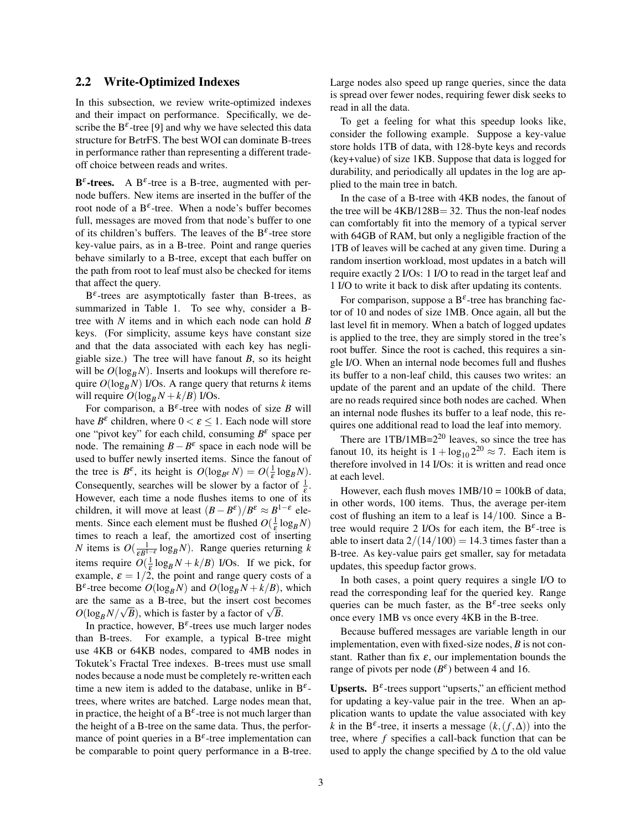#### 2.2 Write-Optimized Indexes

In this subsection, we review write-optimized indexes and their impact on performance. Specifically, we describe the  $B^{\varepsilon}$ -tree [9] and why we have selected this data structure for B*e*trFS. The best WOI can dominate B-trees in performance rather than representing a different tradeoff choice between reads and writes.

**B**<sup> $\varepsilon$ </sup>-trees. A B<sup> $\varepsilon$ </sup>-tree is a B-tree, augmented with pernode buffers. New items are inserted in the buffer of the root node of a  $B^{\varepsilon}$ -tree. When a node's buffer becomes full, messages are moved from that node's buffer to one of its children's buffers. The leaves of the  $B^{\varepsilon}$ -tree store key-value pairs, as in a B-tree. Point and range queries behave similarly to a B-tree, except that each buffer on the path from root to leaf must also be checked for items that affect the query.

 $B^{\varepsilon}$ -trees are asymptotically faster than B-trees, as summarized in Table 1. To see why, consider a Btree with *N* items and in which each node can hold *B* keys. (For simplicity, assume keys have constant size and that the data associated with each key has negligiable size.) The tree will have fanout *B*, so its height will be  $O(\log_B N)$ . Inserts and lookups will therefore require  $O(\log_B N)$  I/Os. A range query that returns *k* items will require  $O(\log_B N + k/B)$  I/Os.

For comparison, a  $B^{\varepsilon}$ -tree with nodes of size *B* will have  $B^{\varepsilon}$  children, where  $0 < \varepsilon \leq 1$ . Each node will store one "pivot key" for each child, consuming  $B^{\varepsilon}$  space per node. The remaining  $B - B^{\varepsilon}$  space in each node will be used to buffer newly inserted items. Since the fanout of the tree is  $B^{\varepsilon}$ , its height is  $O(\log_{B^{\varepsilon}} N) = O(\frac{1}{\varepsilon} \log_B N)$ . Consequently, searches will be slower by a factor of  $\frac{1}{\varepsilon}$ . However, each time a node flushes items to one of its children, it will move at least  $(B - B^{\varepsilon})/B^{\varepsilon} \approx B^{1-\varepsilon}$  elements. Since each element must be flushed  $O(\frac{1}{\varepsilon} \log_B N)$ times to reach a leaf, the amortized cost of inserting *N* items is  $O(\frac{1}{\varepsilon B^{1-\varepsilon}} \log_B N)$ . Range queries returning *k* items require  $O(\frac{1}{\varepsilon} \log_B N + k/B)$  I/Os. If we pick, for example,  $\varepsilon = 1/2$ , the point and range query costs of a B<sup> $\varepsilon$ </sup>-tree become  $O(\log_B N)$  and  $O(\log_B N + k/B)$ , which are the same as a B-tree, but the insert cost becomes are the same as a B-tree, but the insert cost be  $O(\log_B N/\sqrt{B})$ , which is faster by a factor of  $\sqrt{B}$ .

In practice, however,  $B^{\varepsilon}$ -trees use much larger nodes than B-trees. For example, a typical B-tree might use 4KB or 64KB nodes, compared to 4MB nodes in Tokutek's Fractal Tree indexes. B-trees must use small nodes because a node must be completely re-written each time a new item is added to the database, unlike in  $B^{\varepsilon}$ trees, where writes are batched. Large nodes mean that, in practice, the height of a B<sup> $\varepsilon$ </sup>-tree is not much larger than the height of a B-tree on the same data. Thus, the performance of point queries in a  $B^{\varepsilon}$ -tree implementation can be comparable to point query performance in a B-tree. Large nodes also speed up range queries, since the data is spread over fewer nodes, requiring fewer disk seeks to read in all the data.

To get a feeling for what this speedup looks like, consider the following example. Suppose a key-value store holds 1TB of data, with 128-byte keys and records (key+value) of size 1KB. Suppose that data is logged for durability, and periodically all updates in the log are applied to the main tree in batch.

In the case of a B-tree with 4KB nodes, the fanout of the tree will be  $4KB/128B = 32$ . Thus the non-leaf nodes can comfortably fit into the memory of a typical server with 64GB of RAM, but only a negligible fraction of the 1TB of leaves will be cached at any given time. During a random insertion workload, most updates in a batch will require exactly 2 I/Os: 1 I/O to read in the target leaf and 1 I/O to write it back to disk after updating its contents.

For comparison, suppose a  $B^{\varepsilon}$ -tree has branching factor of 10 and nodes of size 1MB. Once again, all but the last level fit in memory. When a batch of logged updates is applied to the tree, they are simply stored in the tree's root buffer. Since the root is cached, this requires a single I/O. When an internal node becomes full and flushes its buffer to a non-leaf child, this causes two writes: an update of the parent and an update of the child. There are no reads required since both nodes are cached. When an internal node flushes its buffer to a leaf node, this requires one additional read to load the leaf into memory.

There are 1TB/1MB=2<sup>20</sup> leaves, so since the tree has fanout 10, its height is  $1 + log_{10} 2^{20} \approx 7$ . Each item is therefore involved in 14 I/Os: it is written and read once at each level.

However, each flush moves 1MB/10 = 100kB of data, in other words, 100 items. Thus, the average per-item cost of flushing an item to a leaf is 14/100. Since a Btree would require 2 I/Os for each item, the  $B^{\varepsilon}$ -tree is able to insert data  $2/(14/100) = 14.3$  times faster than a B-tree. As key-value pairs get smaller, say for metadata updates, this speedup factor grows.

In both cases, a point query requires a single I/O to read the corresponding leaf for the queried key. Range queries can be much faster, as the  $B^{\varepsilon}$ -tree seeks only once every 1MB vs once every 4KB in the B-tree.

Because buffered messages are variable length in our implementation, even with fixed-size nodes, *B* is not constant. Rather than fix  $\varepsilon$ , our implementation bounds the range of pivots per node  $(B^{\varepsilon})$  between 4 and 16.

Upserts.  $B^{\varepsilon}$ -trees support "upserts," an efficient method for updating a key-value pair in the tree. When an application wants to update the value associated with key  $k$  in the B<sup> $\varepsilon$ </sup>-tree, it inserts a message  $(k, (f, \Delta))$  into the tree, where *f* specifies a call-back function that can be used to apply the change specified by  $\Delta$  to the old value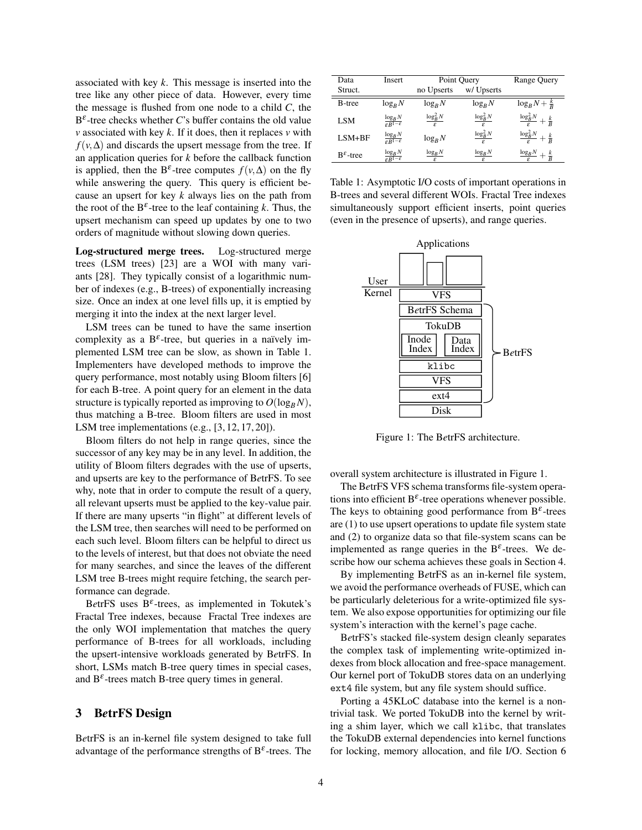associated with key *k*. This message is inserted into the tree like any other piece of data. However, every time the message is flushed from one node to a child *C*, the  $B^{\varepsilon}$ -tree checks whether *C*'s buffer contains the old value *v* associated with key *k*. If it does, then it replaces *v* with  $f(v, \Delta)$  and discards the upsert message from the tree. If an application queries for *k* before the callback function is applied, then the B<sup> $\varepsilon$ </sup>-tree computes  $f(v, \Delta)$  on the fly while answering the query. This query is efficient because an upsert for key *k* always lies on the path from the root of the  $B^{\varepsilon}$ -tree to the leaf containing *k*. Thus, the upsert mechanism can speed up updates by one to two orders of magnitude without slowing down queries.

Log-structured merge trees. Log-structured merge trees (LSM trees) [23] are a WOI with many variants [28]. They typically consist of a logarithmic number of indexes (e.g., B-trees) of exponentially increasing size. Once an index at one level fills up, it is emptied by merging it into the index at the next larger level.

LSM trees can be tuned to have the same insertion complexity as a  $B^{\varepsilon}$ -tree, but queries in a naïvely implemented LSM tree can be slow, as shown in Table 1. Implementers have developed methods to improve the query performance, most notably using Bloom filters [6] for each B-tree. A point query for an element in the data structure is typically reported as improving to  $O(\log_B N)$ , thus matching a B-tree. Bloom filters are used in most LSM tree implementations (e.g., [3, 12, 17, 20]).

Bloom filters do not help in range queries, since the successor of any key may be in any level. In addition, the utility of Bloom filters degrades with the use of upserts, and upserts are key to the performance of B*e*trFS. To see why, note that in order to compute the result of a query, all relevant upserts must be applied to the key-value pair. If there are many upserts "in flight" at different levels of the LSM tree, then searches will need to be performed on each such level. Bloom filters can be helpful to direct us to the levels of interest, but that does not obviate the need for many searches, and since the leaves of the different LSM tree B-trees might require fetching, the search performance can degrade.

BetrFS uses  $B^{\varepsilon}$ -trees, as implemented in Tokutek's Fractal Tree indexes, because Fractal Tree indexes are the only WOI implementation that matches the query performance of B-trees for all workloads, including the upsert-intensive workloads generated by B*e*trFS. In short, LSMs match B-tree query times in special cases, and  $B^{\varepsilon}$ -trees match B-tree query times in general.

## 3 B*e*trFS Design

B*e*trFS is an in-kernel file system designed to take full advantage of the performance strengths of  $B^{\varepsilon}$ -trees. The

| Data                    | Insert                                           | Point Query                   |                               | <b>Range Query</b>                                |
|-------------------------|--------------------------------------------------|-------------------------------|-------------------------------|---------------------------------------------------|
| Struct.                 |                                                  | no Upserts                    | w/ Upserts                    |                                                   |
| <b>B</b> -tree          | $\log_R N$                                       | $log_R N$                     | $log_R N$                     | $\log_B N + \frac{k}{R}$                          |
| LSM                     | $\frac{\log_B N}{\varepsilon B^{1-\varepsilon}}$ | $\frac{\log_B^2 N}{\epsilon}$ | $\frac{\log_B^2 N}{\epsilon}$ | $\frac{\log_B^2 N}{\log_B^2 N}$<br>$+\frac{k}{R}$ |
| LSM+BF                  | $\frac{\log_B N}{\varepsilon B^{1-\varepsilon}}$ | $\log_R N$                    | $\frac{\log_B^2 N}{\epsilon}$ | $\frac{\log_B^2 N}{\log_B^2 N}$<br>$+\frac{k}{R}$ |
| $B^{\varepsilon}$ -tree | $\frac{\log_B N}{\varepsilon B^{1-\varepsilon}}$ | $\log_B N$                    | $\log_B N$                    | $\log_B N$<br>$+\frac{k}{B}$                      |

Table 1: Asymptotic I/O costs of important operations in B-trees and several different WOIs. Fractal Tree indexes simultaneously support efficient inserts, point queries (even in the presence of upserts), and range queries.



Figure 1: The B*e*trFS architecture.

overall system architecture is illustrated in Figure 1.

The B*e*trFS VFS schema transforms file-system operations into efficient  $B^{\varepsilon}$ -tree operations whenever possible. The keys to obtaining good performance from  $B^{\varepsilon}$ -trees are (1) to use upsert operations to update file system state and (2) to organize data so that file-system scans can be implemented as range queries in the  $B^{\varepsilon}$ -trees. We describe how our schema achieves these goals in Section 4.

By implementing B*e*trFS as an in-kernel file system, we avoid the performance overheads of FUSE, which can be particularly deleterious for a write-optimized file system. We also expose opportunities for optimizing our file system's interaction with the kernel's page cache.

B*e*trFS's stacked file-system design cleanly separates the complex task of implementing write-optimized indexes from block allocation and free-space management. Our kernel port of TokuDB stores data on an underlying ext4 file system, but any file system should suffice.

Porting a 45KLoC database into the kernel is a nontrivial task. We ported TokuDB into the kernel by writing a shim layer, which we call klibc, that translates the TokuDB external dependencies into kernel functions for locking, memory allocation, and file I/O. Section 6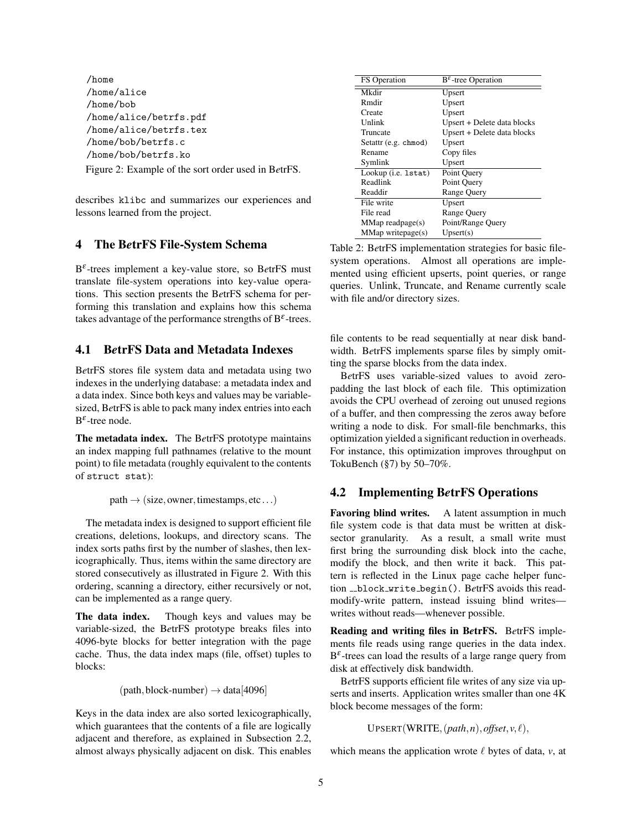/home /home/alice /home/bob /home/alice/betrfs.pdf /home/alice/betrfs.tex /home/bob/betrfs.c /home/bob/betrfs.ko Figure 2: Example of the sort order used in B*e*trFS.

describes klibc and summarizes our experiences and lessons learned from the project.

## 4 The B*e*trFS File-System Schema

B ε -trees implement a key-value store, so B*e*trFS must translate file-system operations into key-value operations. This section presents the B*e*trFS schema for performing this translation and explains how this schema takes advantage of the performance strengths of  $B^{\varepsilon}$ -trees.

## 4.1 B*e*trFS Data and Metadata Indexes

B*e*trFS stores file system data and metadata using two indexes in the underlying database: a metadata index and a data index. Since both keys and values may be variablesized, B*e*trFS is able to pack many index entries into each  $B^{\varepsilon}$ -tree node.

The metadata index. The B*e*trFS prototype maintains an index mapping full pathnames (relative to the mount point) to file metadata (roughly equivalent to the contents of struct stat):

 $path \rightarrow (size, owner, timestamps, etc...)$ 

The metadata index is designed to support efficient file creations, deletions, lookups, and directory scans. The index sorts paths first by the number of slashes, then lexicographically. Thus, items within the same directory are stored consecutively as illustrated in Figure 2. With this ordering, scanning a directory, either recursively or not, can be implemented as a range query.

The data index. Though keys and values may be variable-sized, the B*e*trFS prototype breaks files into 4096-byte blocks for better integration with the page cache. Thus, the data index maps (file, offset) tuples to blocks:

 $(path,block-number) \rightarrow data[4096]$ 

Keys in the data index are also sorted lexicographically, which guarantees that the contents of a file are logically adjacent and therefore, as explained in Subsection 2.2, almost always physically adjacent on disk. This enables

| <b>FS</b> Operation    | $B^{\varepsilon}$ -tree Operation |  |  |
|------------------------|-----------------------------------|--|--|
| Mkdir                  | Upsert                            |  |  |
| R mdir                 | Upsert                            |  |  |
| Create                 | Upsert                            |  |  |
| Unlink                 | Upsert + Delete data blocks       |  |  |
| Truncate               | Upsert + Delete data blocks       |  |  |
| Setattr (e.g. chmod)   | Upsert                            |  |  |
| Rename                 | Copy files                        |  |  |
| Symlink                | Upsert                            |  |  |
| Lookup (i.e. 1stat)    | Point Query                       |  |  |
| Readlink               | Point Query                       |  |  |
| Readdir                | <b>Range Query</b>                |  |  |
| File write             | Upsert                            |  |  |
| File read              | <b>Range Query</b>                |  |  |
| $MMap$ readpage $(s)$  | Point/Range Query                 |  |  |
| $MMap$ writepage $(s)$ | Upset(s)                          |  |  |

Table 2: B*e*trFS implementation strategies for basic filesystem operations. Almost all operations are implemented using efficient upserts, point queries, or range queries. Unlink, Truncate, and Rename currently scale with file and/or directory sizes.

file contents to be read sequentially at near disk bandwidth. B*e*trFS implements sparse files by simply omitting the sparse blocks from the data index.

B*e*trFS uses variable-sized values to avoid zeropadding the last block of each file. This optimization avoids the CPU overhead of zeroing out unused regions of a buffer, and then compressing the zeros away before writing a node to disk. For small-file benchmarks, this optimization yielded a significant reduction in overheads. For instance, this optimization improves throughput on TokuBench (§7) by 50–70%.

# 4.2 Implementing B*e*trFS Operations

Favoring blind writes. A latent assumption in much file system code is that data must be written at disksector granularity. As a result, a small write must first bring the surrounding disk block into the cache, modify the block, and then write it back. This pattern is reflected in the Linux page cache helper function \_\_block\_write\_begin(). BetrFS avoids this readmodify-write pattern, instead issuing blind writes writes without reads—whenever possible.

Reading and writing files in B*e*trFS. B*e*trFS implements file reads using range queries in the data index.  $B^{\varepsilon}$ -trees can load the results of a large range query from disk at effectively disk bandwidth.

B*e*trFS supports efficient file writes of any size via upserts and inserts. Application writes smaller than one 4K block become messages of the form:

```
UPSERT(WRITE, (path, n), offset, v, \ell),
```
which means the application wrote  $\ell$  bytes of data,  $\nu$ , at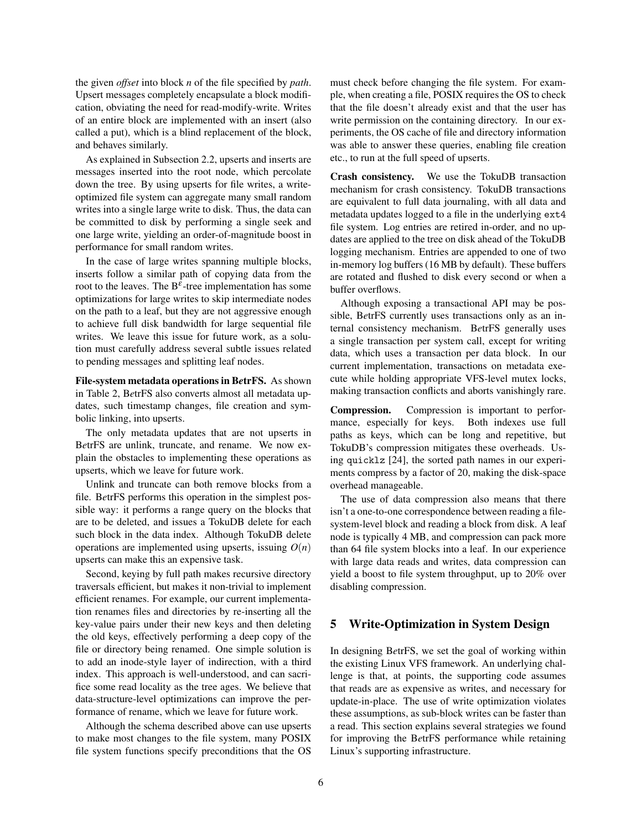the given *offset* into block *n* of the file specified by *path*. Upsert messages completely encapsulate a block modification, obviating the need for read-modify-write. Writes of an entire block are implemented with an insert (also called a put), which is a blind replacement of the block, and behaves similarly.

As explained in Subsection 2.2, upserts and inserts are messages inserted into the root node, which percolate down the tree. By using upserts for file writes, a writeoptimized file system can aggregate many small random writes into a single large write to disk. Thus, the data can be committed to disk by performing a single seek and one large write, yielding an order-of-magnitude boost in performance for small random writes.

In the case of large writes spanning multiple blocks, inserts follow a similar path of copying data from the root to the leaves. The  $B^{\varepsilon}$ -tree implementation has some optimizations for large writes to skip intermediate nodes on the path to a leaf, but they are not aggressive enough to achieve full disk bandwidth for large sequential file writes. We leave this issue for future work, as a solution must carefully address several subtle issues related to pending messages and splitting leaf nodes.

File-system metadata operations in B*e*trFS. As shown in Table 2, B*e*trFS also converts almost all metadata updates, such timestamp changes, file creation and symbolic linking, into upserts.

The only metadata updates that are not upserts in B*e*trFS are unlink, truncate, and rename. We now explain the obstacles to implementing these operations as upserts, which we leave for future work.

Unlink and truncate can both remove blocks from a file. B*e*trFS performs this operation in the simplest possible way: it performs a range query on the blocks that are to be deleted, and issues a TokuDB delete for each such block in the data index. Although TokuDB delete operations are implemented using upserts, issuing  $O(n)$ upserts can make this an expensive task.

Second, keying by full path makes recursive directory traversals efficient, but makes it non-trivial to implement efficient renames. For example, our current implementation renames files and directories by re-inserting all the key-value pairs under their new keys and then deleting the old keys, effectively performing a deep copy of the file or directory being renamed. One simple solution is to add an inode-style layer of indirection, with a third index. This approach is well-understood, and can sacrifice some read locality as the tree ages. We believe that data-structure-level optimizations can improve the performance of rename, which we leave for future work.

Although the schema described above can use upserts to make most changes to the file system, many POSIX file system functions specify preconditions that the OS must check before changing the file system. For example, when creating a file, POSIX requires the OS to check that the file doesn't already exist and that the user has write permission on the containing directory. In our experiments, the OS cache of file and directory information was able to answer these queries, enabling file creation etc., to run at the full speed of upserts.

Crash consistency. We use the TokuDB transaction mechanism for crash consistency. TokuDB transactions are equivalent to full data journaling, with all data and metadata updates logged to a file in the underlying ext4 file system. Log entries are retired in-order, and no updates are applied to the tree on disk ahead of the TokuDB logging mechanism. Entries are appended to one of two in-memory log buffers (16 MB by default). These buffers are rotated and flushed to disk every second or when a buffer overflows.

Although exposing a transactional API may be possible, B*e*trFS currently uses transactions only as an internal consistency mechanism. B*e*trFS generally uses a single transaction per system call, except for writing data, which uses a transaction per data block. In our current implementation, transactions on metadata execute while holding appropriate VFS-level mutex locks, making transaction conflicts and aborts vanishingly rare.

Compression. Compression is important to performance, especially for keys. Both indexes use full paths as keys, which can be long and repetitive, but TokuDB's compression mitigates these overheads. Using quicklz [24], the sorted path names in our experiments compress by a factor of 20, making the disk-space overhead manageable.

The use of data compression also means that there isn't a one-to-one correspondence between reading a filesystem-level block and reading a block from disk. A leaf node is typically 4 MB, and compression can pack more than 64 file system blocks into a leaf. In our experience with large data reads and writes, data compression can yield a boost to file system throughput, up to 20% over disabling compression.

## 5 Write-Optimization in System Design

In designing B*e*trFS, we set the goal of working within the existing Linux VFS framework. An underlying challenge is that, at points, the supporting code assumes that reads are as expensive as writes, and necessary for update-in-place. The use of write optimization violates these assumptions, as sub-block writes can be faster than a read. This section explains several strategies we found for improving the B*e*trFS performance while retaining Linux's supporting infrastructure.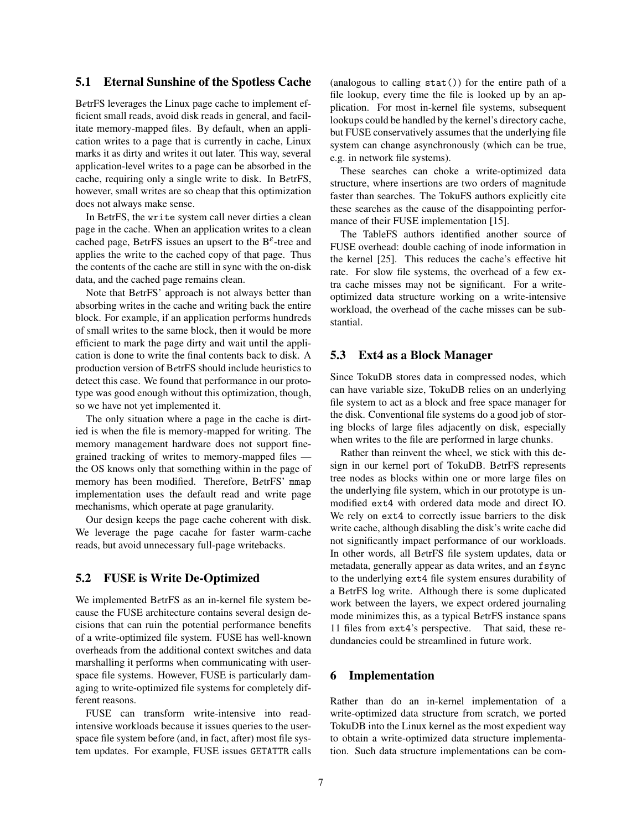## 5.1 Eternal Sunshine of the Spotless Cache

B*e*trFS leverages the Linux page cache to implement efficient small reads, avoid disk reads in general, and facilitate memory-mapped files. By default, when an application writes to a page that is currently in cache, Linux marks it as dirty and writes it out later. This way, several application-level writes to a page can be absorbed in the cache, requiring only a single write to disk. In B*e*trFS, however, small writes are so cheap that this optimization does not always make sense.

In B*e*trFS, the write system call never dirties a clean page in the cache. When an application writes to a clean cached page, BetrFS issues an upsert to the  $B^{\varepsilon}$ -tree and applies the write to the cached copy of that page. Thus the contents of the cache are still in sync with the on-disk data, and the cached page remains clean.

Note that B*e*trFS' approach is not always better than absorbing writes in the cache and writing back the entire block. For example, if an application performs hundreds of small writes to the same block, then it would be more efficient to mark the page dirty and wait until the application is done to write the final contents back to disk. A production version of B*e*trFS should include heuristics to detect this case. We found that performance in our prototype was good enough without this optimization, though, so we have not yet implemented it.

The only situation where a page in the cache is dirtied is when the file is memory-mapped for writing. The memory management hardware does not support finegrained tracking of writes to memory-mapped files the OS knows only that something within in the page of memory has been modified. Therefore, B*e*trFS' mmap implementation uses the default read and write page mechanisms, which operate at page granularity.

Our design keeps the page cache coherent with disk. We leverage the page cacahe for faster warm-cache reads, but avoid unnecessary full-page writebacks.

# 5.2 FUSE is Write De-Optimized

We implemented B*e*trFS as an in-kernel file system because the FUSE architecture contains several design decisions that can ruin the potential performance benefits of a write-optimized file system. FUSE has well-known overheads from the additional context switches and data marshalling it performs when communicating with userspace file systems. However, FUSE is particularly damaging to write-optimized file systems for completely different reasons.

FUSE can transform write-intensive into readintensive workloads because it issues queries to the userspace file system before (and, in fact, after) most file system updates. For example, FUSE issues GETATTR calls (analogous to calling stat()) for the entire path of a file lookup, every time the file is looked up by an application. For most in-kernel file systems, subsequent lookups could be handled by the kernel's directory cache, but FUSE conservatively assumes that the underlying file system can change asynchronously (which can be true, e.g. in network file systems).

These searches can choke a write-optimized data structure, where insertions are two orders of magnitude faster than searches. The TokuFS authors explicitly cite these searches as the cause of the disappointing performance of their FUSE implementation [15].

The TableFS authors identified another source of FUSE overhead: double caching of inode information in the kernel [25]. This reduces the cache's effective hit rate. For slow file systems, the overhead of a few extra cache misses may not be significant. For a writeoptimized data structure working on a write-intensive workload, the overhead of the cache misses can be substantial.

## 5.3 Ext4 as a Block Manager

Since TokuDB stores data in compressed nodes, which can have variable size, TokuDB relies on an underlying file system to act as a block and free space manager for the disk. Conventional file systems do a good job of storing blocks of large files adjacently on disk, especially when writes to the file are performed in large chunks.

Rather than reinvent the wheel, we stick with this design in our kernel port of TokuDB. B*e*trFS represents tree nodes as blocks within one or more large files on the underlying file system, which in our prototype is unmodified ext4 with ordered data mode and direct IO. We rely on ext4 to correctly issue barriers to the disk write cache, although disabling the disk's write cache did not significantly impact performance of our workloads. In other words, all B*e*trFS file system updates, data or metadata, generally appear as data writes, and an fsync to the underlying ext4 file system ensures durability of a B*e*trFS log write. Although there is some duplicated work between the layers, we expect ordered journaling mode minimizes this, as a typical B*e*trFS instance spans 11 files from ext4's perspective. That said, these redundancies could be streamlined in future work.

# 6 Implementation

Rather than do an in-kernel implementation of a write-optimized data structure from scratch, we ported TokuDB into the Linux kernel as the most expedient way to obtain a write-optimized data structure implementation. Such data structure implementations can be com-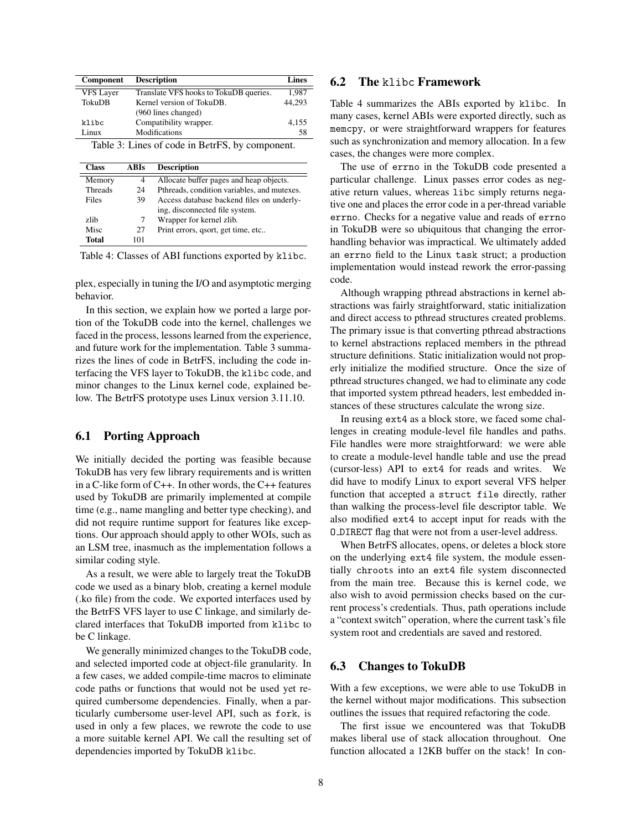| Component                                       | <b>Description</b>                     | <b>Lines</b> |  |  |
|-------------------------------------------------|----------------------------------------|--------------|--|--|
| <b>VFS Layer</b>                                | Translate VFS hooks to TokuDB queries. | 1,987        |  |  |
| <b>TokuDB</b>                                   | Kernel version of TokuDB               | 44,293       |  |  |
|                                                 | (960 lines changed)                    |              |  |  |
| klibc                                           | Compatibility wrapper.                 | 4,155        |  |  |
| Linux                                           | Modifications                          | 58           |  |  |
| Table 3: Lines of code in BetrFS, by component. |                                        |              |  |  |

| <b>Class</b>   | ABIs | <b>Description</b>                          |
|----------------|------|---------------------------------------------|
| Memory         | 4    | Allocate buffer pages and heap objects.     |
| <b>Threads</b> | 24   | Pthreads, condition variables, and mutexes. |
| Files          | 39   | Access database backend files on underly-   |
|                |      | ing, disconnected file system.              |
| zlib           | 7    | Wrapper for kernel zlib.                    |
| Misc           | 27   | Print errors, qsort, get time, etc          |
| <b>Total</b>   | 101  |                                             |

Table 4: Classes of ABI functions exported by klibc.

plex, especially in tuning the I/O and asymptotic merging behavior.

In this section, we explain how we ported a large portion of the TokuDB code into the kernel, challenges we faced in the process, lessons learned from the experience, and future work for the implementation. Table 3 summarizes the lines of code in B*e*trFS, including the code interfacing the VFS layer to TokuDB, the klibc code, and minor changes to the Linux kernel code, explained below. The B*e*trFS prototype uses Linux version 3.11.10.

## 6.1 Porting Approach

We initially decided the porting was feasible because TokuDB has very few library requirements and is written in a C-like form of C++. In other words, the C++ features used by TokuDB are primarily implemented at compile time (e.g., name mangling and better type checking), and did not require runtime support for features like exceptions. Our approach should apply to other WOIs, such as an LSM tree, inasmuch as the implementation follows a similar coding style.

As a result, we were able to largely treat the TokuDB code we used as a binary blob, creating a kernel module (.ko file) from the code. We exported interfaces used by the B*e*trFS VFS layer to use C linkage, and similarly declared interfaces that TokuDB imported from klibc to be C linkage.

We generally minimized changes to the TokuDB code, and selected imported code at object-file granularity. In a few cases, we added compile-time macros to eliminate code paths or functions that would not be used yet required cumbersome dependencies. Finally, when a particularly cumbersome user-level API, such as fork, is used in only a few places, we rewrote the code to use a more suitable kernel API. We call the resulting set of dependencies imported by TokuDB klibc.

# 6.2 The klibc Framework

Table 4 summarizes the ABIs exported by klibc. In many cases, kernel ABIs were exported directly, such as memcpy, or were straightforward wrappers for features such as synchronization and memory allocation. In a few cases, the changes were more complex.

The use of errno in the TokuDB code presented a particular challenge. Linux passes error codes as negative return values, whereas libc simply returns negative one and places the error code in a per-thread variable errno. Checks for a negative value and reads of errno in TokuDB were so ubiquitous that changing the errorhandling behavior was impractical. We ultimately added an errno field to the Linux task struct; a production implementation would instead rework the error-passing code.

Although wrapping pthread abstractions in kernel abstractions was fairly straightforward, static initialization and direct access to pthread structures created problems. The primary issue is that converting pthread abstractions to kernel abstractions replaced members in the pthread structure definitions. Static initialization would not properly initialize the modified structure. Once the size of pthread structures changed, we had to eliminate any code that imported system pthread headers, lest embedded instances of these structures calculate the wrong size.

In reusing ext4 as a block store, we faced some challenges in creating module-level file handles and paths. File handles were more straightforward: we were able to create a module-level handle table and use the pread (cursor-less) API to ext4 for reads and writes. We did have to modify Linux to export several VFS helper function that accepted a struct file directly, rather than walking the process-level file descriptor table. We also modified ext4 to accept input for reads with the O DIRECT flag that were not from a user-level address.

When B*e*trFS allocates, opens, or deletes a block store on the underlying ext4 file system, the module essentially chroots into an ext4 file system disconnected from the main tree. Because this is kernel code, we also wish to avoid permission checks based on the current process's credentials. Thus, path operations include a "context switch" operation, where the current task's file system root and credentials are saved and restored.

#### 6.3 Changes to TokuDB

With a few exceptions, we were able to use TokuDB in the kernel without major modifications. This subsection outlines the issues that required refactoring the code.

The first issue we encountered was that TokuDB makes liberal use of stack allocation throughout. One function allocated a 12KB buffer on the stack! In con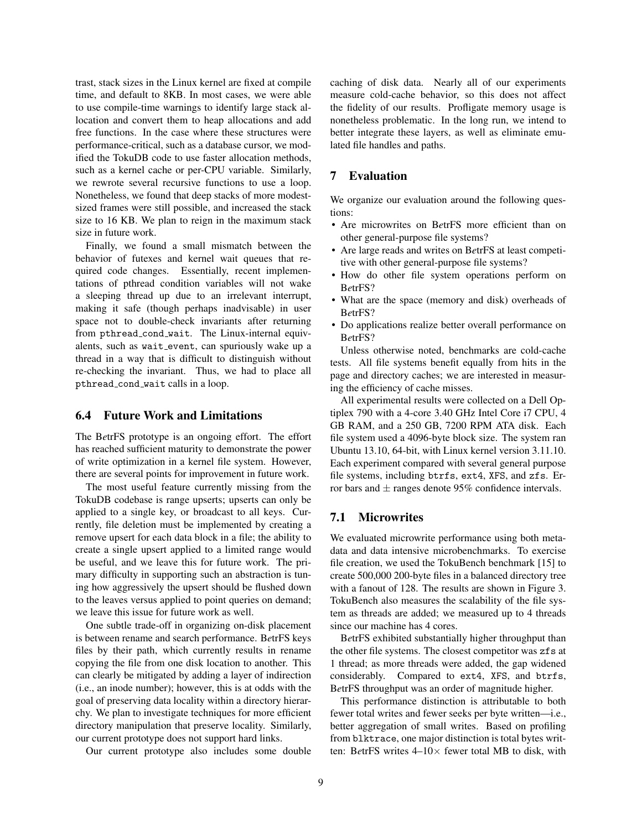trast, stack sizes in the Linux kernel are fixed at compile time, and default to 8KB. In most cases, we were able to use compile-time warnings to identify large stack allocation and convert them to heap allocations and add free functions. In the case where these structures were performance-critical, such as a database cursor, we modified the TokuDB code to use faster allocation methods, such as a kernel cache or per-CPU variable. Similarly, we rewrote several recursive functions to use a loop. Nonetheless, we found that deep stacks of more modestsized frames were still possible, and increased the stack size to 16 KB. We plan to reign in the maximum stack size in future work.

Finally, we found a small mismatch between the behavior of futexes and kernel wait queues that required code changes. Essentially, recent implementations of pthread condition variables will not wake a sleeping thread up due to an irrelevant interrupt, making it safe (though perhaps inadvisable) in user space not to double-check invariants after returning from pthread\_cond\_wait. The Linux-internal equivalents, such as wait event, can spuriously wake up a thread in a way that is difficult to distinguish without re-checking the invariant. Thus, we had to place all pthread cond wait calls in a loop.

# 6.4 Future Work and Limitations

The B*e*trFS prototype is an ongoing effort. The effort has reached sufficient maturity to demonstrate the power of write optimization in a kernel file system. However, there are several points for improvement in future work.

The most useful feature currently missing from the TokuDB codebase is range upserts; upserts can only be applied to a single key, or broadcast to all keys. Currently, file deletion must be implemented by creating a remove upsert for each data block in a file; the ability to create a single upsert applied to a limited range would be useful, and we leave this for future work. The primary difficulty in supporting such an abstraction is tuning how aggressively the upsert should be flushed down to the leaves versus applied to point queries on demand; we leave this issue for future work as well.

One subtle trade-off in organizing on-disk placement is between rename and search performance. B*e*trFS keys files by their path, which currently results in rename copying the file from one disk location to another. This can clearly be mitigated by adding a layer of indirection (i.e., an inode number); however, this is at odds with the goal of preserving data locality within a directory hierarchy. We plan to investigate techniques for more efficient directory manipulation that preserve locality. Similarly, our current prototype does not support hard links.

Our current prototype also includes some double

caching of disk data. Nearly all of our experiments measure cold-cache behavior, so this does not affect the fidelity of our results. Profligate memory usage is nonetheless problematic. In the long run, we intend to better integrate these layers, as well as eliminate emulated file handles and paths.

## 7 Evaluation

We organize our evaluation around the following questions:

- Are microwrites on B*e*trFS more efficient than on other general-purpose file systems?
- Are large reads and writes on B*e*trFS at least competitive with other general-purpose file systems?
- How do other file system operations perform on B*e*trFS?
- What are the space (memory and disk) overheads of B*e*trFS?
- Do applications realize better overall performance on B*e*trFS?

Unless otherwise noted, benchmarks are cold-cache tests. All file systems benefit equally from hits in the page and directory caches; we are interested in measuring the efficiency of cache misses.

All experimental results were collected on a Dell Optiplex 790 with a 4-core 3.40 GHz Intel Core i7 CPU, 4 GB RAM, and a 250 GB, 7200 RPM ATA disk. Each file system used a 4096-byte block size. The system ran Ubuntu 13.10, 64-bit, with Linux kernel version 3.11.10. Each experiment compared with several general purpose file systems, including btrfs, ext4, XFS, and zfs. Error bars and  $\pm$  ranges denote 95% confidence intervals.

## 7.1 Microwrites

We evaluated microwrite performance using both metadata and data intensive microbenchmarks. To exercise file creation, we used the TokuBench benchmark [15] to create 500,000 200-byte files in a balanced directory tree with a fanout of 128. The results are shown in Figure 3. TokuBench also measures the scalability of the file system as threads are added; we measured up to 4 threads since our machine has 4 cores.

B*e*trFS exhibited substantially higher throughput than the other file systems. The closest competitor was zfs at 1 thread; as more threads were added, the gap widened considerably. Compared to ext4, XFS, and btrfs, B*e*trFS throughput was an order of magnitude higher.

This performance distinction is attributable to both fewer total writes and fewer seeks per byte written—i.e., better aggregation of small writes. Based on profiling from blktrace, one major distinction is total bytes written: B*e*trFS writes 4–10× fewer total MB to disk, with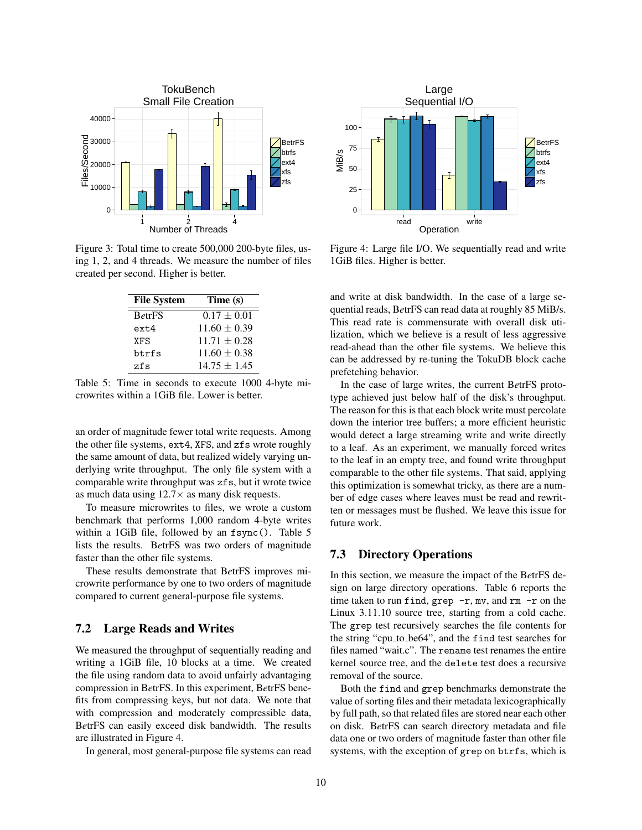

Figure 3: Total time to create 500,000 200-byte files, using 1, 2, and 4 threads. We measure the number of files created per second. Higher is better.

| <b>File System</b> | Time (s)         |  |  |
|--------------------|------------------|--|--|
| <b>BetrFS</b>      | $0.17 \pm 0.01$  |  |  |
| $ext{4}$           | $11.60 \pm 0.39$ |  |  |
| <b>XFS</b>         | $11.71 + 0.28$   |  |  |
| btrfs              | $11.60 \pm 0.38$ |  |  |
| zfs                | $14.75 + 1.45$   |  |  |

Table 5: Time in seconds to execute 1000 4-byte microwrites within a 1GiB file. Lower is better.

an order of magnitude fewer total write requests. Among the other file systems, ext4, XFS, and zfs wrote roughly the same amount of data, but realized widely varying underlying write throughput. The only file system with a comparable write throughput was zfs, but it wrote twice as much data using  $12.7 \times$  as many disk requests.

To measure microwrites to files, we wrote a custom benchmark that performs 1,000 random 4-byte writes within a 1GiB file, followed by an fsync(). Table 5 lists the results. B*e*trFS was two orders of magnitude faster than the other file systems.

These results demonstrate that B*e*trFS improves microwrite performance by one to two orders of magnitude compared to current general-purpose file systems.

# 7.2 Large Reads and Writes

We measured the throughput of sequentially reading and writing a 1GiB file, 10 blocks at a time. We created the file using random data to avoid unfairly advantaging compression in B*e*trFS. In this experiment, B*e*trFS benefits from compressing keys, but not data. We note that with compression and moderately compressible data, B*e*trFS can easily exceed disk bandwidth. The results are illustrated in Figure 4.

In general, most general-purpose file systems can read



Figure 4: Large file I/O. We sequentially read and write 1GiB files. Higher is better.

and write at disk bandwidth. In the case of a large sequential reads, B*e*trFS can read data at roughly 85 MiB/s. This read rate is commensurate with overall disk utilization, which we believe is a result of less aggressive read-ahead than the other file systems. We believe this can be addressed by re-tuning the TokuDB block cache prefetching behavior.

In the case of large writes, the current B*e*trFS prototype achieved just below half of the disk's throughput. The reason for this is that each block write must percolate down the interior tree buffers; a more efficient heuristic would detect a large streaming write and write directly to a leaf. As an experiment, we manually forced writes to the leaf in an empty tree, and found write throughput comparable to the other file systems. That said, applying this optimization is somewhat tricky, as there are a number of edge cases where leaves must be read and rewritten or messages must be flushed. We leave this issue for future work.

# 7.3 Directory Operations

In this section, we measure the impact of the B*e*trFS design on large directory operations. Table 6 reports the time taken to run find, grep  $-r$ , mv, and rm  $-r$  on the Linux 3.11.10 source tree, starting from a cold cache. The grep test recursively searches the file contents for the string "cpu to be64", and the find test searches for files named "wait.c". The rename test renames the entire kernel source tree, and the delete test does a recursive removal of the source.

Both the find and grep benchmarks demonstrate the value of sorting files and their metadata lexicographically by full path, so that related files are stored near each other on disk. B*e*trFS can search directory metadata and file data one or two orders of magnitude faster than other file systems, with the exception of grep on btrfs, which is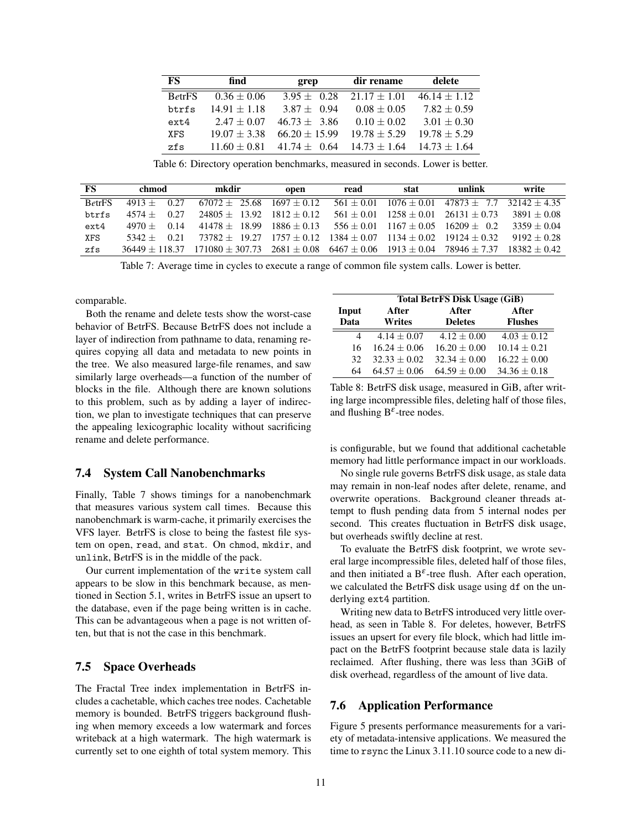| FS            | find             | grep              | dir rename       | delete           |
|---------------|------------------|-------------------|------------------|------------------|
| <b>BetrFS</b> | $0.36 \pm 0.06$  | $3.95 + 0.28$     | $21.17 \pm 1.01$ | $46.14 \pm 1.12$ |
| btrfs         | $14.91 \pm 1.18$ | $3.87 + 0.94$     | $0.08 \pm 0.05$  | $7.82 \pm 0.59$  |
| $ext{4}$      | $2.47 + 0.07$    | $46.73 + 3.86$    | $0.10 \pm 0.02$  | $3.01 \pm 0.30$  |
| XFS.          | $19.07 \pm 3.38$ | $66.20 \pm 15.99$ | $19.78 \pm 5.29$ | $19.78 + 5.29$   |
| zfs           | $11.60 \pm 0.81$ | $41.74 + 0.64$    | $14.73 + 1.64$   | $14.73 + 1.64$   |

Table 6: Directory operation benchmarks, measured in seconds. Lower is better.

| FS            | chmod    |      | mkdir                                                                                  | open          | read         | stat                     | unlink         | write          |
|---------------|----------|------|----------------------------------------------------------------------------------------|---------------|--------------|--------------------------|----------------|----------------|
| <b>BetrFS</b> | $4913 +$ | 0.27 | $67072 + 25.68$ $1697 + 0.12$                                                          |               | $561 + 0.01$ | $1076 + 0.01$            | $47873 + 7.7$  | $32142 + 4.35$ |
| btrfs         | $4574 +$ | 0.27 | $24805 + 13.92$ $1812 + 0.12$                                                          |               | $561 + 0.01$ | $1258 + 0.01$            | $26131 + 0.73$ | $3891 + 0.08$  |
| $ext{4}$      | $4970 +$ | 0.14 | $41478 + 18.99$                                                                        | $1886 + 0.13$ |              | $556 + 0.01$ 1167 + 0.05 | $16209 + 0.2$  | $3359 + 0.04$  |
| XFS           | $5342+$  | 0.21 | $73782 + 19.27$ $1757 + 0.12$ $1384 + 0.07$ $1134 + 0.02$                              |               |              |                          | $19124 + 0.32$ | $9192 + 0.28$  |
| zfs           |          |      | $36449 \pm 118.37$ $171080 \pm 307.73$ $2681 \pm 0.08$ $6467 \pm 0.06$ $1913 \pm 0.04$ |               |              |                          | $78946 + 7.37$ | $18382 + 0.42$ |

Table 7: Average time in cycles to execute a range of common file system calls. Lower is better.

comparable.

Both the rename and delete tests show the worst-case behavior of B*e*trFS. Because B*e*trFS does not include a layer of indirection from pathname to data, renaming requires copying all data and metadata to new points in the tree. We also measured large-file renames, and saw similarly large overheads—a function of the number of blocks in the file. Although there are known solutions to this problem, such as by adding a layer of indirection, we plan to investigate techniques that can preserve the appealing lexicographic locality without sacrificing rename and delete performance.

## 7.4 System Call Nanobenchmarks

Finally, Table 7 shows timings for a nanobenchmark that measures various system call times. Because this nanobenchmark is warm-cache, it primarily exercises the VFS layer. B*e*trFS is close to being the fastest file system on open, read, and stat. On chmod, mkdir, and unlink, B*e*trFS is in the middle of the pack.

Our current implementation of the write system call appears to be slow in this benchmark because, as mentioned in Section 5.1, writes in B*e*trFS issue an upsert to the database, even if the page being written is in cache. This can be advantageous when a page is not written often, but that is not the case in this benchmark.

# 7.5 Space Overheads

The Fractal Tree index implementation in B*e*trFS includes a cachetable, which caches tree nodes. Cachetable memory is bounded. B*e*trFS triggers background flushing when memory exceeds a low watermark and forces writeback at a high watermark. The high watermark is currently set to one eighth of total system memory. This

|       | Total BetrFS Disk Usage (GiB) |                 |                |  |  |
|-------|-------------------------------|-----------------|----------------|--|--|
| Input | After                         | After           | After          |  |  |
| Data  | <b>Writes</b>                 | <b>Deletes</b>  | <b>Flushes</b> |  |  |
| 4     | $4.14 + 0.07$                 | $4.12 \pm 0.00$ | $4.03 + 0.12$  |  |  |
| 16    | $16.24 + 0.06$                | $16.20 + 0.00$  | $10.14 + 0.21$ |  |  |
| 32    | $32.33 + 0.02$                | $32.34 + 0.00$  | $16.22 + 0.00$ |  |  |
| 64    | $64.57 + 0.06$                | $64.59 + 0.00$  | $34.36 + 0.18$ |  |  |

Table 8: B*e*trFS disk usage, measured in GiB, after writing large incompressible files, deleting half of those files, and flushing  $B^{\varepsilon}$ -tree nodes.

is configurable, but we found that additional cachetable memory had little performance impact in our workloads.

No single rule governs B*e*trFS disk usage, as stale data may remain in non-leaf nodes after delete, rename, and overwrite operations. Background cleaner threads attempt to flush pending data from 5 internal nodes per second. This creates fluctuation in B*e*trFS disk usage, but overheads swiftly decline at rest.

To evaluate the B*e*trFS disk footprint, we wrote several large incompressible files, deleted half of those files, and then initiated a B<sup> $\varepsilon$ </sup>-tree flush. After each operation, we calculated the B*e*trFS disk usage using df on the underlying ext4 partition.

Writing new data to B*e*trFS introduced very little overhead, as seen in Table 8. For deletes, however, B*e*trFS issues an upsert for every file block, which had little impact on the B*e*trFS footprint because stale data is lazily reclaimed. After flushing, there was less than 3GiB of disk overhead, regardless of the amount of live data.

# 7.6 Application Performance

Figure 5 presents performance measurements for a variety of metadata-intensive applications. We measured the time to rsync the Linux 3.11.10 source code to a new di-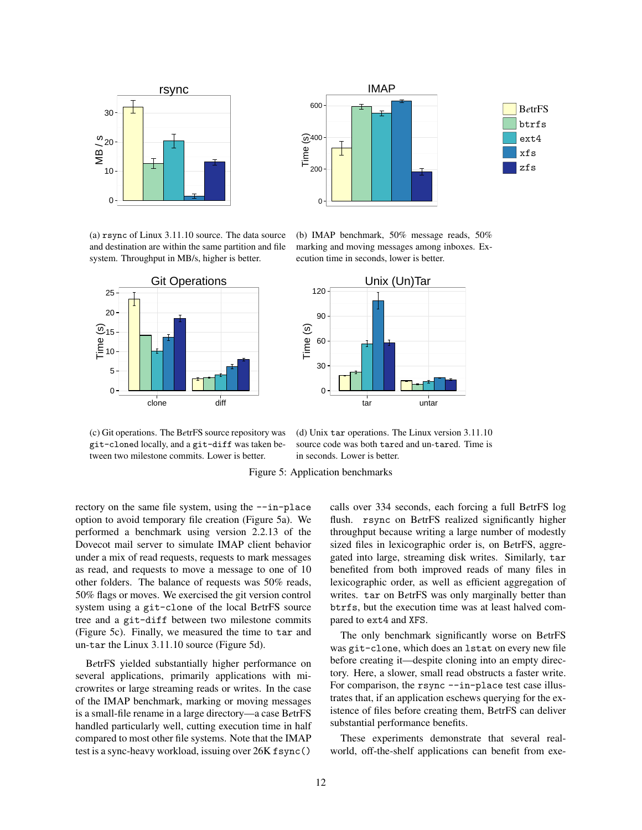



(a) rsync of Linux 3.11.10 source. The data source and destination are within the same partition and file system. Throughput in MB/s, higher is better.



(b) IMAP benchmark, 50% message reads, 50% marking and moving messages among inboxes. Execution time in seconds, lower is better.



(c) Git operations. The B*e*trFS source repository was git-cloned locally, and a git-diff was taken between two milestone commits. Lower is better.

(d) Unix tar operations. The Linux version 3.11.10 source code was both tared and un-tared. Time is in seconds. Lower is better.

Figure 5: Application benchmarks

rectory on the same file system, using the --in-place option to avoid temporary file creation (Figure 5a). We performed a benchmark using version 2.2.13 of the Dovecot mail server to simulate IMAP client behavior under a mix of read requests, requests to mark messages as read, and requests to move a message to one of 10 other folders. The balance of requests was 50% reads, 50% flags or moves. We exercised the git version control system using a git-clone of the local B*e*trFS source tree and a git-diff between two milestone commits (Figure 5c). Finally, we measured the time to tar and un-tar the Linux 3.11.10 source (Figure 5d).

B*e*trFS yielded substantially higher performance on several applications, primarily applications with microwrites or large streaming reads or writes. In the case of the IMAP benchmark, marking or moving messages is a small-file rename in a large directory—a case B*e*trFS handled particularly well, cutting execution time in half compared to most other file systems. Note that the IMAP test is a sync-heavy workload, issuing over 26K fsync()

calls over 334 seconds, each forcing a full B*e*trFS log flush. rsync on B*e*trFS realized significantly higher throughput because writing a large number of modestly sized files in lexicographic order is, on B*e*trFS, aggregated into large, streaming disk writes. Similarly, tar benefited from both improved reads of many files in lexicographic order, as well as efficient aggregation of writes. tar on B*e*trFS was only marginally better than btrfs, but the execution time was at least halved compared to ext4 and XFS.

The only benchmark significantly worse on B*e*trFS was git-clone, which does an lstat on every new file before creating it—despite cloning into an empty directory. Here, a slower, small read obstructs a faster write. For comparison, the rsync --in-place test case illustrates that, if an application eschews querying for the existence of files before creating them, B*e*trFS can deliver substantial performance benefits.

These experiments demonstrate that several realworld, off-the-shelf applications can benefit from exe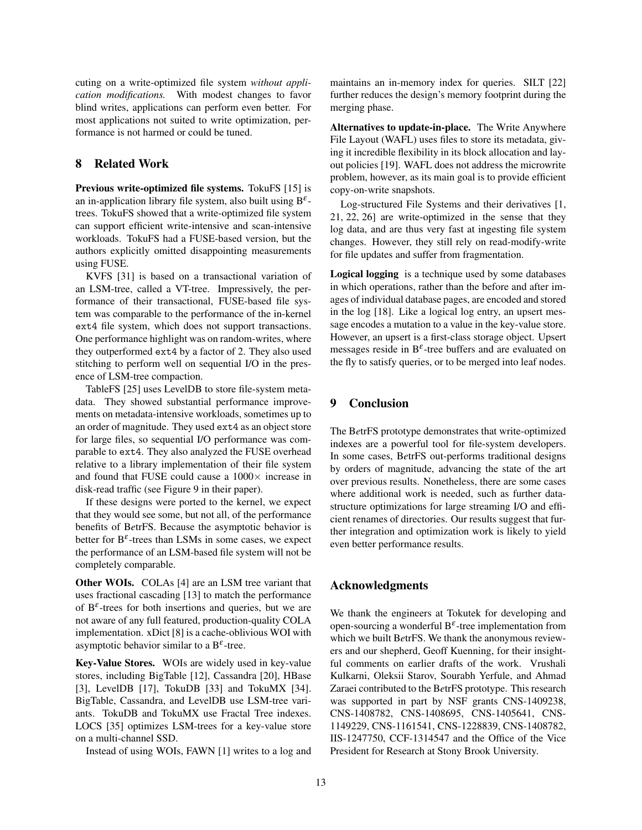cuting on a write-optimized file system *without application modifications.* With modest changes to favor blind writes, applications can perform even better. For most applications not suited to write optimization, performance is not harmed or could be tuned.

# 8 Related Work

Previous write-optimized file systems. TokuFS [15] is an in-application library file system, also built using  $B^{\varepsilon}$ trees. TokuFS showed that a write-optimized file system can support efficient write-intensive and scan-intensive workloads. TokuFS had a FUSE-based version, but the authors explicitly omitted disappointing measurements using FUSE.

KVFS [31] is based on a transactional variation of an LSM-tree, called a VT-tree. Impressively, the performance of their transactional, FUSE-based file system was comparable to the performance of the in-kernel ext4 file system, which does not support transactions. One performance highlight was on random-writes, where they outperformed ext4 by a factor of 2. They also used stitching to perform well on sequential I/O in the presence of LSM-tree compaction.

TableFS [25] uses LevelDB to store file-system metadata. They showed substantial performance improvements on metadata-intensive workloads, sometimes up to an order of magnitude. They used ext4 as an object store for large files, so sequential I/O performance was comparable to ext4. They also analyzed the FUSE overhead relative to a library implementation of their file system and found that FUSE could cause a  $1000\times$  increase in disk-read traffic (see Figure 9 in their paper).

If these designs were ported to the kernel, we expect that they would see some, but not all, of the performance benefits of B*e*trFS. Because the asymptotic behavior is better for  $B^{\varepsilon}$ -trees than LSMs in some cases, we expect the performance of an LSM-based file system will not be completely comparable.

Other WOIs. COLAs [4] are an LSM tree variant that uses fractional cascading [13] to match the performance of  $B^{\varepsilon}$ -trees for both insertions and queries, but we are not aware of any full featured, production-quality COLA implementation. xDict [8] is a cache-oblivious WOI with asymptotic behavior similar to a  $B^{\varepsilon}$ -tree.

Key-Value Stores. WOIs are widely used in key-value stores, including BigTable [12], Cassandra [20], HBase [3], LevelDB [17], TokuDB [33] and TokuMX [34]. BigTable, Cassandra, and LevelDB use LSM-tree variants. TokuDB and TokuMX use Fractal Tree indexes. LOCS [35] optimizes LSM-trees for a key-value store on a multi-channel SSD.

Instead of using WOIs, FAWN [1] writes to a log and

maintains an in-memory index for queries. SILT [22] further reduces the design's memory footprint during the merging phase.

Alternatives to update-in-place. The Write Anywhere File Layout (WAFL) uses files to store its metadata, giving it incredible flexibility in its block allocation and layout policies [19]. WAFL does not address the microwrite problem, however, as its main goal is to provide efficient copy-on-write snapshots.

Log-structured File Systems and their derivatives [1, 21, 22, 26] are write-optimized in the sense that they log data, and are thus very fast at ingesting file system changes. However, they still rely on read-modify-write for file updates and suffer from fragmentation.

Logical logging is a technique used by some databases in which operations, rather than the before and after images of individual database pages, are encoded and stored in the log [18]. Like a logical log entry, an upsert message encodes a mutation to a value in the key-value store. However, an upsert is a first-class storage object. Upsert messages reside in  $B^{\varepsilon}$ -tree buffers and are evaluated on the fly to satisfy queries, or to be merged into leaf nodes.

## 9 Conclusion

The B*e*trFS prototype demonstrates that write-optimized indexes are a powerful tool for file-system developers. In some cases, B*e*trFS out-performs traditional designs by orders of magnitude, advancing the state of the art over previous results. Nonetheless, there are some cases where additional work is needed, such as further datastructure optimizations for large streaming I/O and efficient renames of directories. Our results suggest that further integration and optimization work is likely to yield even better performance results.

## Acknowledgments

We thank the engineers at Tokutek for developing and open-sourcing a wonderful  $B^{\varepsilon}$ -tree implementation from which we built B*e*trFS. We thank the anonymous reviewers and our shepherd, Geoff Kuenning, for their insightful comments on earlier drafts of the work. Vrushali Kulkarni, Oleksii Starov, Sourabh Yerfule, and Ahmad Zaraei contributed to the B*e*trFS prototype. This research was supported in part by NSF grants CNS-1409238, CNS-1408782, CNS-1408695, CNS-1405641, CNS-1149229, CNS-1161541, CNS-1228839, CNS-1408782, IIS-1247750, CCF-1314547 and the Office of the Vice President for Research at Stony Brook University.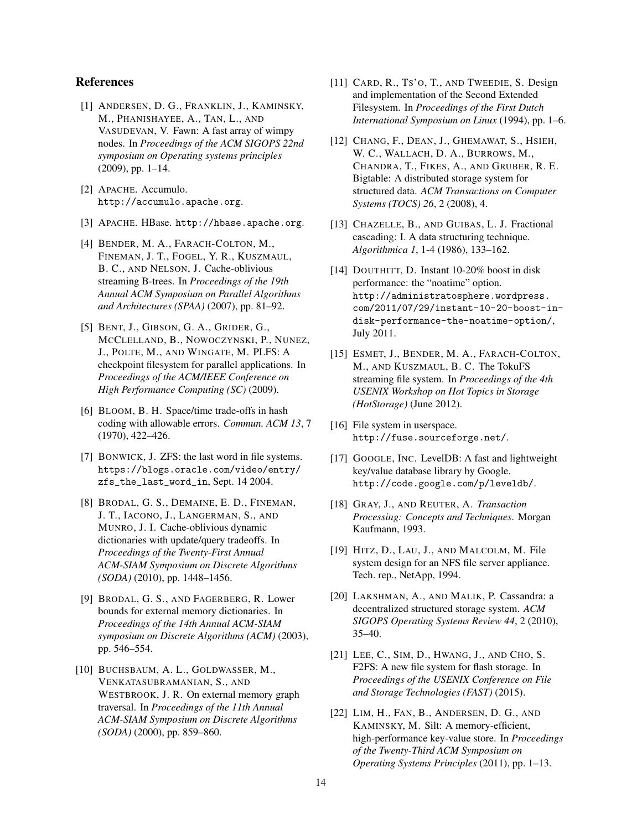# References

- [1] ANDERSEN, D. G., FRANKLIN, J., KAMINSKY, M., PHANISHAYEE, A., TAN, L., AND VASUDEVAN, V. Fawn: A fast array of wimpy nodes. In *Proceedings of the ACM SIGOPS 22nd symposium on Operating systems principles* (2009), pp. 1–14.
- [2] APACHE. Accumulo. http://accumulo.apache.org.
- [3] APACHE. HBase. http://hbase.apache.org.
- [4] BENDER, M. A., FARACH-COLTON, M., FINEMAN, J. T., FOGEL, Y. R., KUSZMAUL, B. C., AND NELSON, J. Cache-oblivious streaming B-trees. In *Proceedings of the 19th Annual ACM Symposium on Parallel Algorithms and Architectures (SPAA)* (2007), pp. 81–92.
- [5] BENT, J., GIBSON, G. A., GRIDER, G., MCCLELLAND, B., NOWOCZYNSKI, P., NUNEZ, J., POLTE, M., AND WINGATE, M. PLFS: A checkpoint filesystem for parallel applications. In *Proceedings of the ACM/IEEE Conference on High Performance Computing (SC)* (2009).
- [6] BLOOM, B. H. Space/time trade-offs in hash coding with allowable errors. *Commun. ACM 13*, 7 (1970), 422–426.
- [7] BONWICK, J. ZFS: the last word in file systems. https://blogs.oracle.com/video/entry/ zfs\_the\_last\_word\_in, Sept. 14 2004.
- [8] BRODAL, G. S., DEMAINE, E. D., FINEMAN, J. T., IACONO, J., LANGERMAN, S., AND MUNRO, J. I. Cache-oblivious dynamic dictionaries with update/query tradeoffs. In *Proceedings of the Twenty-First Annual ACM-SIAM Symposium on Discrete Algorithms (SODA)* (2010), pp. 1448–1456.
- [9] BRODAL, G. S., AND FAGERBERG, R. Lower bounds for external memory dictionaries. In *Proceedings of the 14th Annual ACM-SIAM symposium on Discrete Algorithms (ACM)* (2003), pp. 546–554.
- [10] BUCHSBAUM, A. L., GOLDWASSER, M., VENKATASUBRAMANIAN, S., AND WESTBROOK, J. R. On external memory graph traversal. In *Proceedings of the 11th Annual ACM-SIAM Symposium on Discrete Algorithms (SODA)* (2000), pp. 859–860.
- [11] CARD, R., Ts'O, T., AND TWEEDIE, S. Design and implementation of the Second Extended Filesystem. In *Proceedings of the First Dutch International Symposium on Linux* (1994), pp. 1–6.
- [12] CHANG, F., DEAN, J., GHEMAWAT, S., HSIEH, W. C., WALLACH, D. A., BURROWS, M., CHANDRA, T., FIKES, A., AND GRUBER, R. E. Bigtable: A distributed storage system for structured data. *ACM Transactions on Computer Systems (TOCS) 26*, 2 (2008), 4.
- [13] CHAZELLE, B., AND GUIBAS, L. J. Fractional cascading: I. A data structuring technique. *Algorithmica 1*, 1-4 (1986), 133–162.
- [14] DOUTHITT, D. Instant 10-20% boost in disk performance: the "noatime" option. http://administratosphere.wordpress. com/2011/07/29/instant-10-20-boost-indisk-performance-the-noatime-option/, July 2011.
- [15] ESMET, J., BENDER, M. A., FARACH-COLTON, M., AND KUSZMAUL, B. C. The TokuFS streaming file system. In *Proceedings of the 4th USENIX Workshop on Hot Topics in Storage (HotStorage)* (June 2012).
- [16] File system in userspace. http://fuse.sourceforge.net/.
- [17] GOOGLE, INC. LevelDB: A fast and lightweight key/value database library by Google. http://code.google.com/p/leveldb/.
- [18] GRAY, J., AND REUTER, A. *Transaction Processing: Concepts and Techniques*. Morgan Kaufmann, 1993.
- [19] HITZ, D., LAU, J., AND MALCOLM, M. File system design for an NFS file server appliance. Tech. rep., NetApp, 1994.
- [20] LAKSHMAN, A., AND MALIK, P. Cassandra: a decentralized structured storage system. *ACM SIGOPS Operating Systems Review 44*, 2 (2010), 35–40.
- [21] LEE, C., SIM, D., HWANG, J., AND CHO, S. F2FS: A new file system for flash storage. In *Proceedings of the USENIX Conference on File and Storage Technologies (FAST)* (2015).
- [22] LIM, H., FAN, B., ANDERSEN, D. G., AND KAMINSKY, M. Silt: A memory-efficient, high-performance key-value store. In *Proceedings of the Twenty-Third ACM Symposium on Operating Systems Principles* (2011), pp. 1–13.